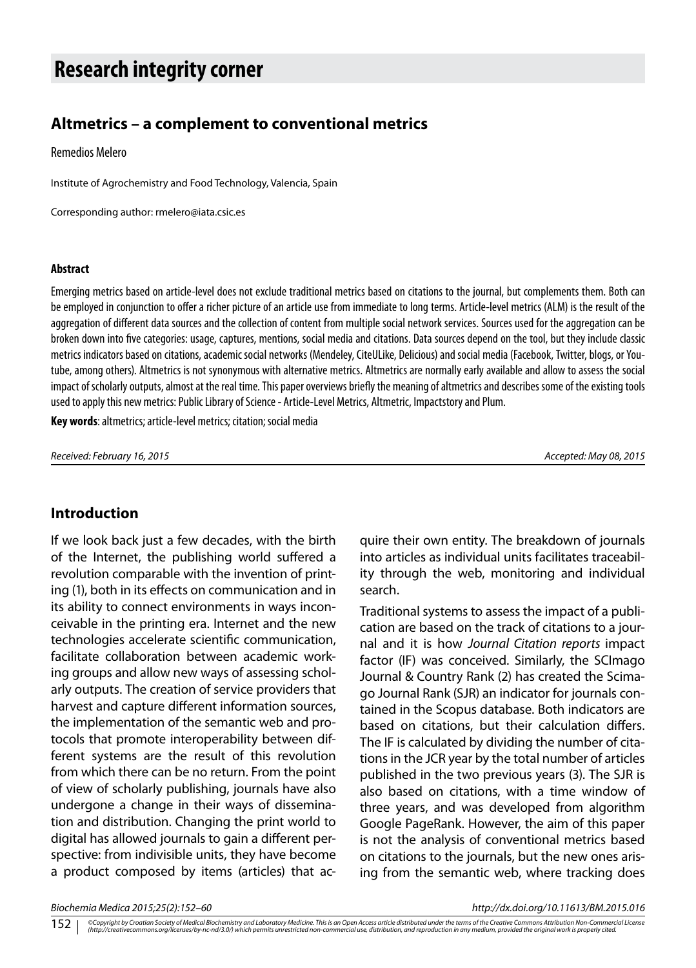# **Research integrity corner**

# **Altmetrics – a complement to conventional metrics**

Remedios Melero

Institute of Agrochemistry and Food Technology, Valencia, Spain

Corresponding author: rmelero@iata.csic.es

#### **Abstract**

Emerging metrics based on article-level does not exclude traditional metrics based on citations to the journal, but complements them. Both can be employed in conjunction to offer a richer picture of an article use from immediate to long terms. Article-level metrics (ALM) is the result of the aggregation of different data sources and the collection of content from multiple social network services. Sources used for the aggregation can be broken down into five categories: usage, captures, mentions, social media and citations. Data sources depend on the tool, but they include classic metrics indicators based on citations, academic social networks (Mendeley, CiteULike, Delicious) and social media (Facebook, Twitter, blogs, or Youtube, among others). Altmetrics is not synonymous with alternative metrics. Altmetrics are normally early available and allow to assess the social impact of scholarly outputs, almost at the real time. This paper overviews briefly the meaning of altmetrics and describes some of the existing tools used to apply this new metrics: Public Library of Science - Article-Level Metrics, Altmetric, Impactstory and Plum.

**Key words**: altmetrics; article-level metrics; citation; social media

*Received: February 16, 2015 Accepted: May 08, 2015*

## **Introduction**

If we look back just a few decades, with the birth of the Internet, the publishing world suffered a revolution comparable with the invention of printing (1), both in its effects on communication and in its ability to connect environments in ways inconceivable in the printing era. Internet and the new technologies accelerate scientific communication, facilitate collaboration between academic working groups and allow new ways of assessing scholarly outputs. The creation of service providers that harvest and capture different information sources, the implementation of the semantic web and protocols that promote interoperability between different systems are the result of this revolution from which there can be no return. From the point of view of scholarly publishing, journals have also undergone a change in their ways of dissemination and distribution. Changing the print world to digital has allowed journals to gain a different perspective: from indivisible units, they have become a product composed by items (articles) that acquire their own entity. The breakdown of journals into articles as individual units facilitates traceability through the web, monitoring and individual search.

Traditional systems to assess the impact of a publication are based on the track of citations to a journal and it is how *Journal Citation reports* impact factor (IF) was conceived. Similarly, the SCImago Journal & Country Rank (2) has created the Scimago Journal Rank (SJR) an indicator for journals contained in the Scopus database. Both indicators are based on citations, but their calculation differs. The IF is calculated by dividing the number of citations in the JCR year by the total number of articles published in the two previous years (3). The SJR is also based on citations, with a time window of three years, and was developed from algorithm Google PageRank. However, the aim of this paper is not the analysis of conventional metrics based on citations to the journals, but the new ones arising from the semantic web, where tracking does

*Biochemia Medica 2015;25(2):152–60 http://dx.doi.org/10.11613/BM.2015.016*

©Copyright by Croatian Society of Medical Biochemistry and Laboratory Medicine. This is an Open Access article distributed under the terms of the Creative Commons Attribution Non-Commercial License<br>(http://creativecommons. 152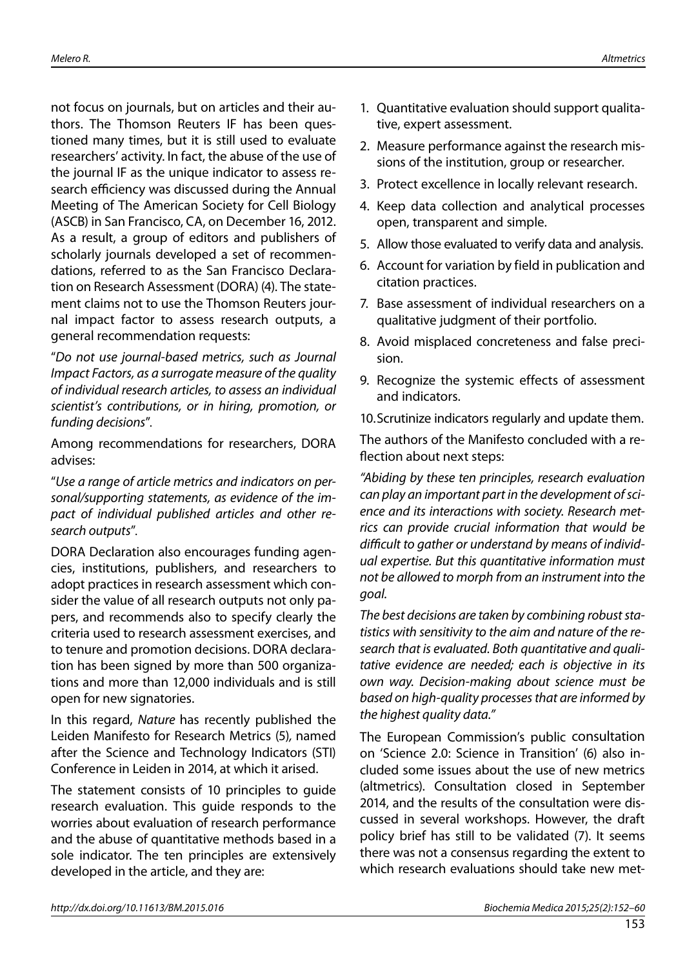not focus on journals, but on articles and their authors. The Thomson Reuters IF has been questioned many times, but it is still used to evaluate researchers' activity. In fact, the abuse of the use of the journal IF as the unique indicator to assess research efficiency was discussed during the Annual Meeting of The American Society for Cell Biology (ASCB) in San Francisco, CA, on December 16, 2012. As a result, a group of editors and publishers of scholarly journals developed a set of recommendations, referred to as the San Francisco Declaration on Research Assessment (DORA) (4). The statement claims not to use the Thomson Reuters journal impact factor to assess research outputs, a general recommendation requests:

"*Do not use journal-based metrics, such as Journal Impact Factors, as a surrogate measure of the quality of individual research articles, to assess an individual scientist's contributions, or in hiring, promotion, or funding decisions*".

Among recommendations for researchers, DORA advises:

"*Use a range of article metrics and indicators on personal/supporting statements, as evidence of the impact of individual published articles and other research outputs*".

DORA Declaration also encourages funding agencies, institutions, publishers, and researchers to adopt practices in research assessment which consider the value of all research outputs not only papers, and recommends also to specify clearly the criteria used to research assessment exercises, and to tenure and promotion decisions. DORA declaration has been signed by more than 500 organizations and more than 12,000 individuals and is still open for new signatories.

In this regard, *Nature* has recently published the Leiden Manifesto for Research Metrics (5)*,* named after the Science and Technology Indicators (STI) Conference in Leiden in 2014, at which it arised.

The statement consists of 10 principles to guide research evaluation. This guide responds to the worries about evaluation of research performance and the abuse of quantitative methods based in a sole indicator. The ten principles are extensively developed in the article, and they are:

- 1. Quantitative evaluation should support qualitative, expert assessment.
- 2. Measure performance against the research missions of the institution, group or researcher.
- 3. Protect excellence in locally relevant research.
- 4. Keep data collection and analytical processes open, transparent and simple.
- 5. Allow those evaluated to verify data and analysis.
- 6. Account for variation by field in publication and citation practices.
- 7. Base assessment of individual researchers on a qualitative judgment of their portfolio.
- 8. Avoid misplaced concreteness and false precision.
- 9. Recognize the systemic effects of assessment and indicators.
- 10.Scrutinize indicators regularly and update them.

The authors of the Manifesto concluded with a reflection about next steps:

*"Abiding by these ten principles, research evaluation can play an important part in the development of science and its interactions with society. Research metrics can provide crucial information that would be difficult to gather or understand by means of individual expertise. But this quantitative information must not be allowed to morph from an instrument into the goal.*

*The best decisions are taken by combining robust statistics with sensitivity to the aim and nature of the research that is evaluated. Both quantitative and qualitative evidence are needed; each is objective in its own way. Decision-making about science must be based on high-quality processes that are informed by the highest quality data."*

The European Commission's public consultation on 'Science 2.0: Science in Transition' (6) also included some issues about the use of new metrics (altmetrics). Consultation closed in September 2014, and the results of the consultation were discussed in several workshops. However, the draft policy brief has still to be validated (7). It seems there was not a consensus regarding the extent to which research evaluations should take new met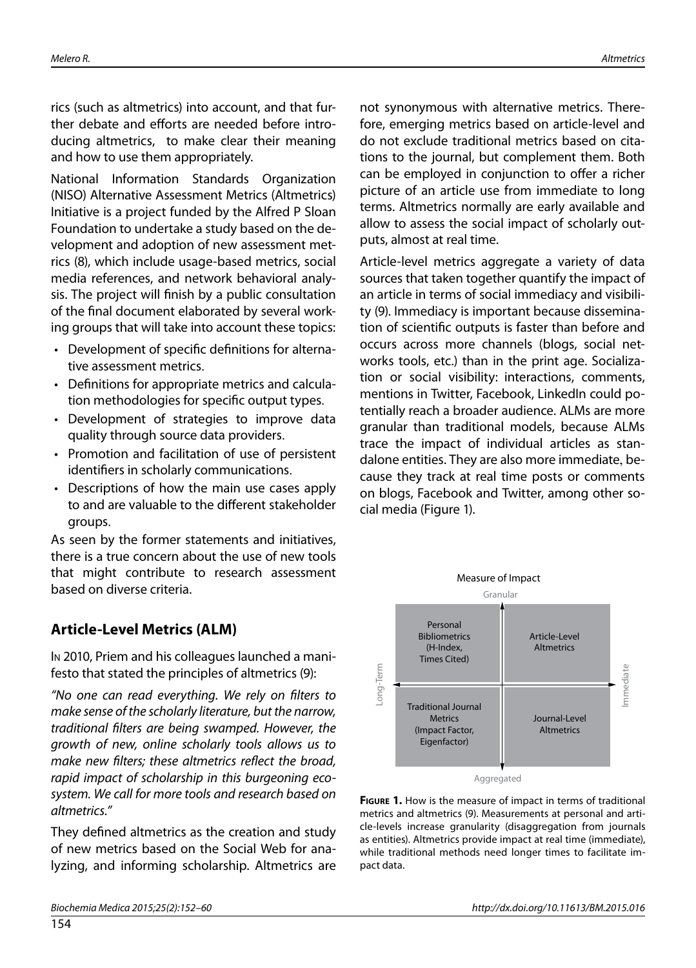rics (such as altmetrics) into account, and that further debate and efforts are needed before introducing altmetrics, to make clear their meaning and how to use them appropriately.

National Information Standards Organization (NISO) Alternative Assessment Metrics (Altmetrics) Initiative is a project funded by the Alfred P Sloan Foundation to undertake a study based on the development and adoption of new assessment metrics (8), which include usage-based metrics, social media references, and network behavioral analysis. The project will finish by a public consultation of the final document elaborated by several working groups that will take into account these topics:

- Development of specific definitions for alternative assessment metrics.
- Definitions for appropriate metrics and calculation methodologies for specific output types.
- Development of strategies to improve data quality through source data providers.
- Promotion and facilitation of use of persistent identifiers in scholarly communications.
- Descriptions of how the main use cases apply to and are valuable to the different stakeholder groups.

As seen by the former statements and initiatives, there is a true concern about the use of new tools that might contribute to research assessment based on diverse criteria.

# **Article-Level Metrics (ALM)**

In 2010, Priem and his colleagues launched a manifesto that stated the principles of altmetrics (9):

*"No one can read everything. We rely on filters to make sense of the scholarly literature, but the narrow, traditional filters are being swamped. However, the growth of new, online scholarly tools allows us to make new filters; these altmetrics reflect the broad, rapid impact of scholarship in this burgeoning ecosystem. We call for more tools and research based on altmetrics."*

They defined altmetrics as the creation and study of new metrics based on the Social Web for analyzing, and informing scholarship. Altmetrics are not synonymous with alternative metrics. Therefore, emerging metrics based on article-level and do not exclude traditional metrics based on citations to the journal, but complement them. Both can be employed in conjunction to offer a richer picture of an article use from immediate to long terms. Altmetrics normally are early available and allow to assess the social impact of scholarly outputs, almost at real time.

Article-level metrics aggregate a variety of data sources that taken together quantify the impact of an article in terms of social immediacy and visibility (9). Immediacy is important because dissemination of scientific outputs is faster than before and occurs across more channels (blogs, social networks tools, etc.) than in the print age. Socialization or social visibility: interactions, comments, mentions in Twitter, Facebook, LinkedIn could potentially reach a broader audience. ALMs are more granular than traditional models, because ALMs trace the impact of individual articles as standalone entities. They are also more immediate, because they track at real time posts or comments on blogs, Facebook and Twitter, among other social media (Figure 1).



**Figure 1.** How is the measure of impact in terms of traditional metrics and altmetrics (9). Measurements at personal and article-levels increase granularity (disaggregation from journals as entities). Altmetrics provide impact at real time (immediate), while traditional methods need longer times to facilitate im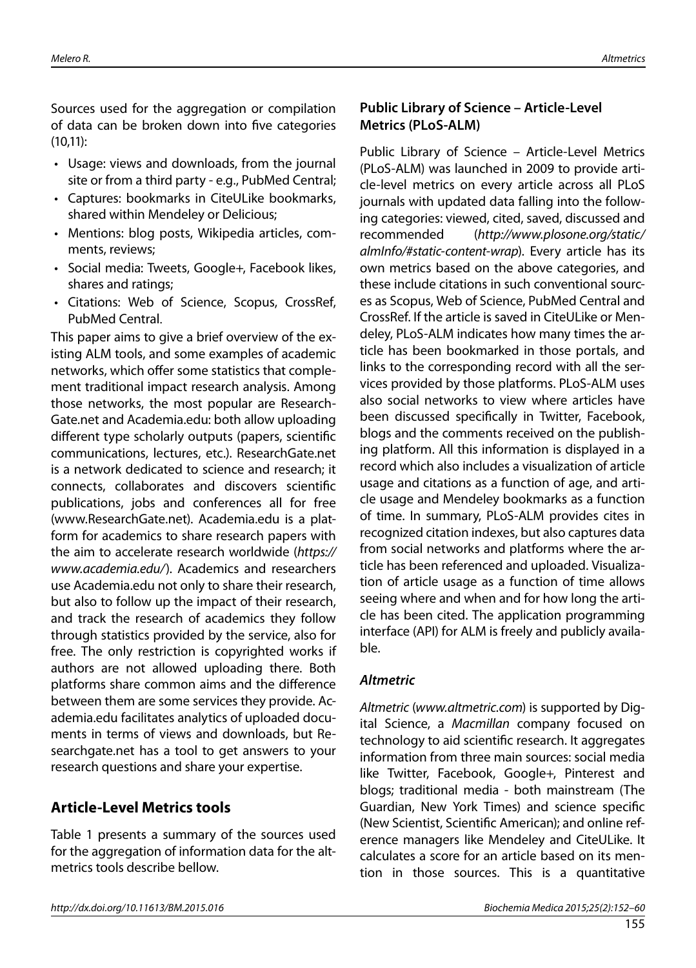Sources used for the aggregation or compilation of data can be broken down into five categories (10,11):

- Usage: views and downloads, from the journal site or from a third party - e.g., PubMed Central;
- • Captures: bookmarks in CiteULike bookmarks, shared within Mendeley or Delicious;
- Mentions: blog posts, Wikipedia articles, comments, reviews;
- • Social media: Tweets, Google+, Facebook likes, shares and ratings;
- • Citations: Web of Science, Scopus, CrossRef, PubMed Central.

This paper aims to give a brief overview of the existing ALM tools, and some examples of academic networks, which offer some statistics that complement traditional impact research analysis. Among those networks, the most popular are Research-Gate.net and Academia.edu: both allow uploading different type scholarly outputs (papers, scientific communications, lectures, etc.). ResearchGate.net is a network dedicated to science and research; it connects, collaborates and discovers scientific publications, jobs and conferences all for free (www.ResearchGate.net). Academia.edu is a platform for academics to share research papers with the aim to accelerate research worldwide (*https:// www.academia.edu/*). Academics and researchers use Academia.edu not only to share their research, but also to follow up the impact of their research, and track the research of academics they follow through statistics provided by the service, also for free. The only restriction is copyrighted works if authors are not allowed uploading there. Both platforms share common aims and the difference between them are some services they provide. Academia.edu facilitates analytics of uploaded documents in terms of views and downloads, but Researchgate.net has a tool to get answers to your research questions and share your expertise.

# **Article-Level Metrics tools**

Table 1 presents a summary of the sources used for the aggregation of information data for the altmetrics tools describe bellow.

# **Public Library of Science – Article-Level Metrics (PLoS-ALM)**

Public Library of Science – Article-Level Metrics (PLoS-ALM) was launched in 2009 to provide article-level metrics on every article across all PLoS journals with updated data falling into the following categories: viewed, cited, saved, discussed and recommended (*http://www.plosone.org/static/ almInfo/#static-content-wrap*). Every article has its own metrics based on the above categories, and these include citations in such conventional sources as Scopus, Web of Science, PubMed Central and CrossRef. If the article is saved in CiteULike or Mendeley, PLoS-ALM indicates how many times the article has been bookmarked in those portals, and links to the corresponding record with all the services provided by those platforms. PLoS-ALM uses also social networks to view where articles have been discussed specifically in Twitter, Facebook, blogs and the comments received on the publishing platform. All this information is displayed in a record which also includes a visualization of article usage and citations as a function of age, and article usage and Mendeley bookmarks as a function of time. In summary, PLoS-ALM provides cites in recognized citation indexes, but also captures data from social networks and platforms where the article has been referenced and uploaded. Visualization of article usage as a function of time allows seeing where and when and for how long the article has been cited. The application programming interface (API) for ALM is freely and publicly available.

## *Altmetric*

*Altmetric* (*www.altmetric.com*) is supported by Digital Science, a *Macmillan* company focused on technology to aid scientific research. It aggregates information from three main sources: social media like Twitter, Facebook, Google+, Pinterest and blogs; traditional media - both mainstream (The Guardian, New York Times) and science specific (New Scientist, Scientific American); and online reference managers like Mendeley and CiteULike. It calculates a score for an article based on its mention in those sources. This is a quantitative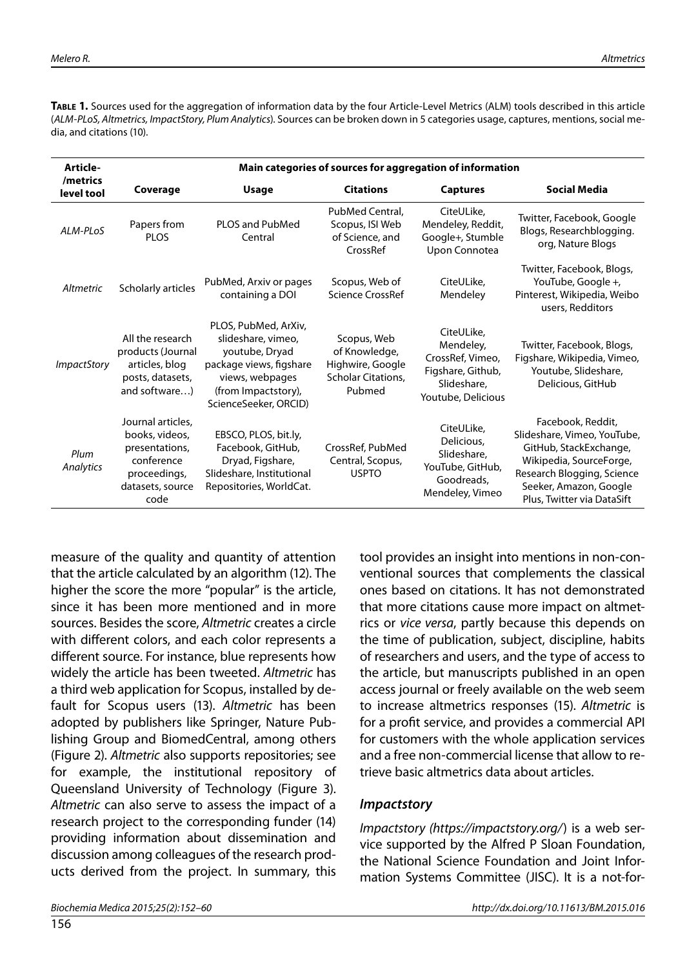**Table 1.** Sources used for the aggregation of information data by the four Article-Level Metrics (ALM) tools described in this article (*ALM-PLoS, Altmetrics, ImpactStory, Plum Analytics*). Sources can be broken down in 5 categories usage, captures, mentions, social media, and citations (10).

| Article-               | Main categories of sources for aggregation of information                                                       |                                                                                                                                                            |                                                                                         |                                                                                                       |                                                                                                                                                                                             |
|------------------------|-----------------------------------------------------------------------------------------------------------------|------------------------------------------------------------------------------------------------------------------------------------------------------------|-----------------------------------------------------------------------------------------|-------------------------------------------------------------------------------------------------------|---------------------------------------------------------------------------------------------------------------------------------------------------------------------------------------------|
| /metrics<br>level tool | Coverage                                                                                                        | <b>Usage</b>                                                                                                                                               | <b>Citations</b>                                                                        | <b>Captures</b>                                                                                       | <b>Social Media</b>                                                                                                                                                                         |
| ALM-PLOS               | Papers from<br><b>PLOS</b>                                                                                      | <b>PLOS and PubMed</b><br>Central                                                                                                                          | PubMed Central.<br>Scopus, ISI Web<br>of Science, and<br>CrossRef                       | CiteULike.<br>Mendeley, Reddit,<br>Google+, Stumble<br>Upon Connotea                                  | Twitter, Facebook, Google<br>Blogs, Researchblogging.<br>org, Nature Blogs                                                                                                                  |
| Altmetric              | Scholarly articles                                                                                              | PubMed, Arxiv or pages<br>containing a DOI                                                                                                                 | Scopus, Web of<br>Science CrossRef                                                      | CiteULike.<br>Mendeley                                                                                | Twitter, Facebook, Blogs,<br>YouTube, Google +,<br>Pinterest, Wikipedia, Weibo<br>users, Redditors                                                                                          |
| <b>ImpactStory</b>     | All the research<br>products (Journal<br>articles, blog<br>posts, datasets,<br>and software)                    | PLOS, PubMed, ArXiv,<br>slideshare, vimeo,<br>youtube, Dryad<br>package views, figshare<br>views, webpages<br>(from Impactstory),<br>ScienceSeeker, ORCID) | Scopus, Web<br>of Knowledge,<br>Highwire, Google<br><b>Scholar Citations.</b><br>Pubmed | CiteULike,<br>Mendeley,<br>CrossRef, Vimeo,<br>Figshare, Github,<br>Slideshare,<br>Youtube, Delicious | Twitter, Facebook, Blogs,<br>Figshare, Wikipedia, Vimeo,<br>Youtube, Slideshare,<br>Delicious, GitHub                                                                                       |
| Plum<br>Analytics      | Journal articles,<br>books, videos,<br>presentations,<br>conference<br>proceedings,<br>datasets, source<br>code | EBSCO, PLOS, bit.ly,<br>Facebook, GitHub,<br>Dryad, Figshare,<br>Slideshare, Institutional<br>Repositories, WorldCat.                                      | CrossRef, PubMed<br>Central, Scopus,<br><b>USPTO</b>                                    | CiteULike,<br>Delicious.<br>Slideshare.<br>YouTube, GitHub,<br>Goodreads,<br>Mendeley, Vimeo          | Facebook, Reddit,<br>Slideshare, Vimeo, YouTube,<br>GitHub, StackExchange,<br>Wikipedia, SourceForge,<br>Research Blogging, Science<br>Seeker, Amazon, Google<br>Plus, Twitter via DataSift |

measure of the quality and quantity of attention that the article calculated by an algorithm (12). The higher the score the more "popular" is the article, since it has been more mentioned and in more sources. Besides the score, *Altmetric* creates a circle with different colors, and each color represents a different source. For instance, blue represents how widely the article has been tweeted. *Altmetric* has a third web application for Scopus, installed by default for Scopus users (13). *Altmetric* has been adopted by publishers like Springer, Nature Publishing Group and BiomedCentral, among others (Figure 2). *Altmetric* also supports repositories; see for example, the institutional repository of Queensland University of Technology (Figure 3). *Altmetric* can also serve to assess the impact of a research project to the corresponding funder (14) providing information about dissemination and discussion among colleagues of the research products derived from the project. In summary, this

tool provides an insight into mentions in non-conventional sources that complements the classical ones based on citations. It has not demonstrated that more citations cause more impact on altmetrics or *vice versa*, partly because this depends on the time of publication, subject, discipline, habits of researchers and users, and the type of access to the article, but manuscripts published in an open access journal or freely available on the web seem to increase altmetrics responses (15). *Altmetric* is for a profit service, and provides a commercial API for customers with the whole application services and a free non-commercial license that allow to retrieve basic altmetrics data about articles.

## *Impactstory*

*Impactstory (https://impactstory.org/*) is a web service supported by the Alfred P Sloan Foundation, the National Science Foundation and Joint Information Systems Committee (JISC). It is a not-for-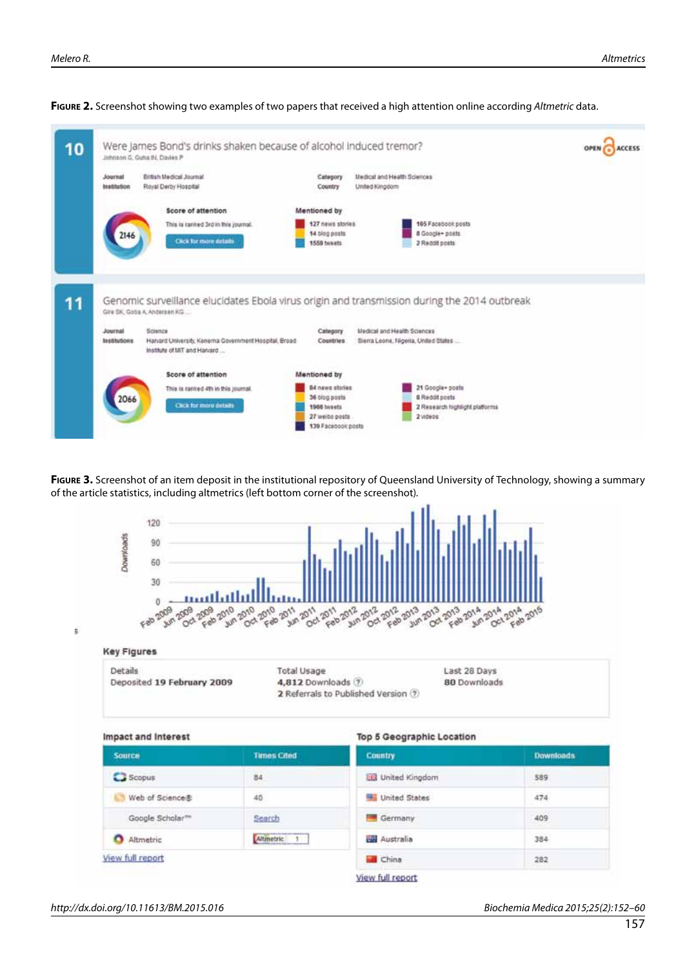

#### **Figure 2.** Screenshot showing two examples of two papers that received a high attention online according *Altmetric* data.

**FIGURE 3.** Screenshot of an item deposit in the institutional repository of Queensland University of Technology, showing a summary of the article statistics, including altmetrics (left bottom corner of the screenshot).

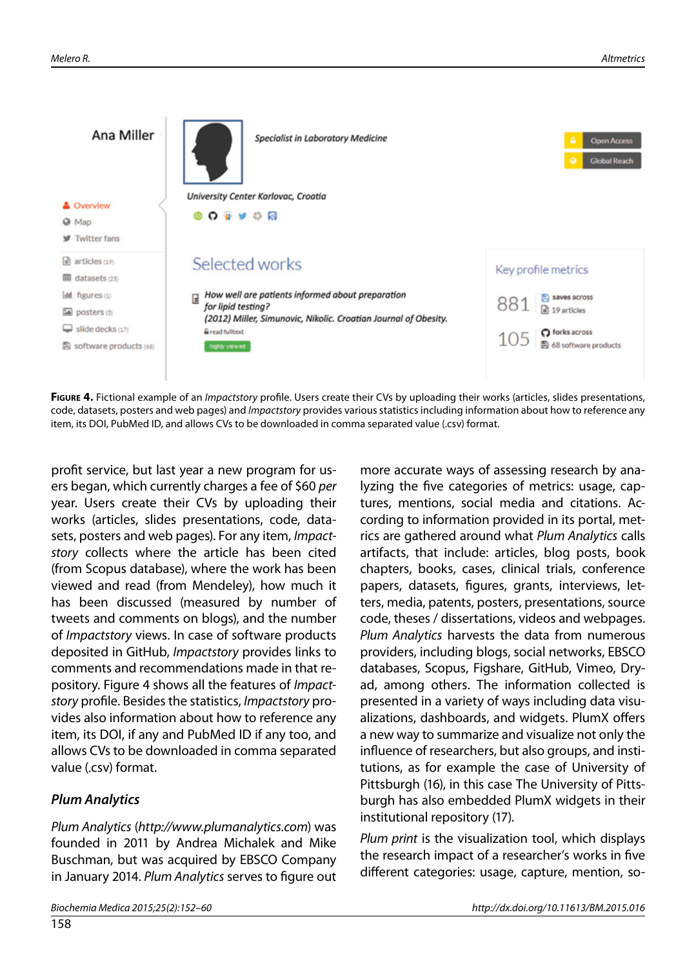

**Figure 4.** Fictional example of an *Impactstory* profile. Users create their CVs by uploading their works (articles, slides presentations, code, datasets, posters and web pages) and *Impactstory* provides various statistics including information about how to reference any item, its DOI, PubMed ID, and allows CVs to be downloaded in comma separated value (.csv) format.

profit service, but last year a new program for users began, which currently charges a fee of \$60 *per* year. Users create their CVs by uploading their works (articles, slides presentations, code, datasets, posters and web pages). For any item, *Impactstory* collects where the article has been cited (from Scopus database), where the work has been viewed and read (from Mendeley), how much it has been discussed (measured by number of tweets and comments on blogs), and the number of *Impactstory* views. In case of software products deposited in GitHub, *Impactstory* provides links to comments and recommendations made in that repository. Figure 4 shows all the features of *Impactstory* profile. Besides the statistics, *Impactstory* provides also information about how to reference any item, its DOI, if any and PubMed ID if any too, and allows CVs to be downloaded in comma separated value (.csv) format.

# *Plum Analytics*

*Plum Analytics* (*http://www.plumanalytics.com*) was founded in 2011 by Andrea Michalek and Mike Buschman, but was acquired by EBSCO Company in January 2014. *Plum Analytics* serves to figure out

more accurate ways of assessing research by analyzing the five categories of metrics: usage, captures, mentions, social media and citations. According to information provided in its portal, metrics are gathered around what *Plum Analytics* calls artifacts, that include: articles, blog posts, book chapters, books, cases, clinical trials, conference papers, datasets, figures, grants, interviews, letters, media, patents, posters, presentations, source code, theses / dissertations, videos and webpages. *Plum Analytics* harvests the data from numerous providers, including blogs, social networks, EBSCO databases, Scopus, Figshare, GitHub, Vimeo, Dryad, among others. The information collected is presented in a variety of ways including data visualizations, dashboards, and widgets. PlumX offers a new way to summarize and visualize not only the influence of researchers, but also groups, and institutions, as for example the case of University of Pittsburgh (16), in this case The University of Pittsburgh has also embedded PlumX widgets in their institutional repository (17).

*Plum print* is the visualization tool, which displays the research impact of a researcher's works in five different categories: usage, capture, mention, so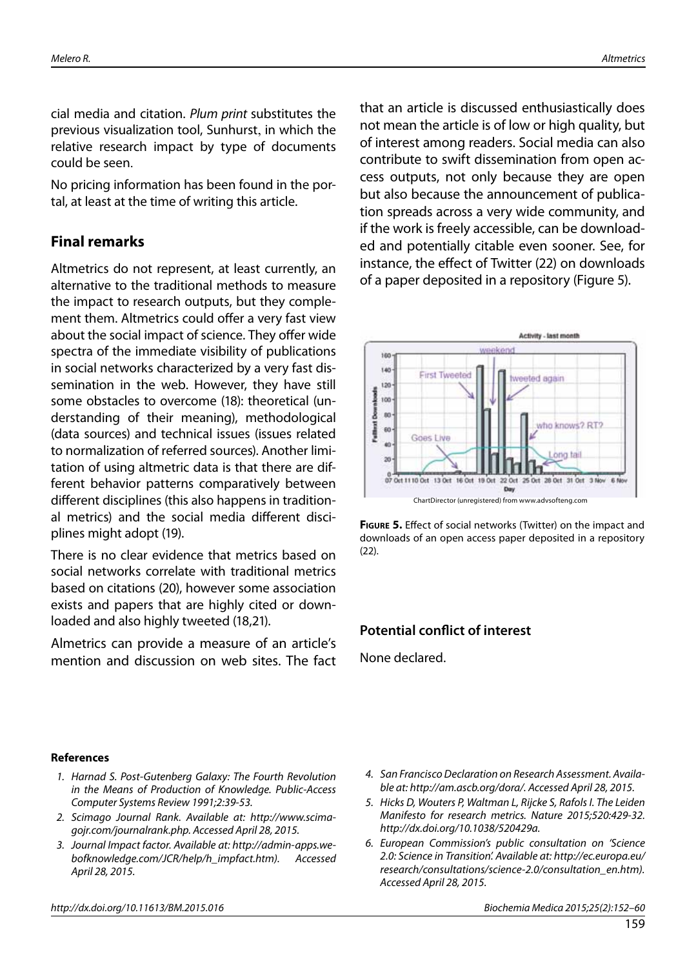cial media and citation. *Plum print* substitutes the previous visualization tool, Sunhurst, in which the relative research impact by type of documents could be seen.

No pricing information has been found in the portal, at least at the time of writing this article.

# **Final remarks**

Altmetrics do not represent, at least currently, an alternative to the traditional methods to measure the impact to research outputs, but they complement them. Altmetrics could offer a very fast view about the social impact of science. They offer wide spectra of the immediate visibility of publications in social networks characterized by a very fast dissemination in the web. However, they have still some obstacles to overcome (18): theoretical (understanding of their meaning), methodological (data sources) and technical issues (issues related to normalization of referred sources). Another limitation of using altmetric data is that there are different behavior patterns comparatively between different disciplines (this also happens in traditional metrics) and the social media different disciplines might adopt (19).

There is no clear evidence that metrics based on social networks correlate with traditional metrics based on citations (20), however some association exists and papers that are highly cited or downloaded and also highly tweeted (18,21).

Almetrics can provide a measure of an article's mention and discussion on web sites. The fact that an article is discussed enthusiastically does not mean the article is of low or high quality, but of interest among readers. Social media can also contribute to swift dissemination from open access outputs, not only because they are open but also because the announcement of publication spreads across a very wide community, and if the work is freely accessible, can be downloaded and potentially citable even sooner. See, for instance, the effect of Twitter (22) on downloads of a paper deposited in a repository (Figure 5).





# **Potential conflict of interest**

None declared.

#### **References**

- *1. Harnad S. Post-Gutenberg Galaxy: The Fourth Revolution in the Means of Production of Knowledge. Public-Access Computer Systems Review 1991;2:39-53.*
- *2. Scimago Journal Rank. Available at: http://www.scimagojr.com/journalrank.php. Accessed April 28, 2015.*
- *3. Journal Impact factor. Available at: http://admin-apps.webofknowledge.com/JCR/help/h\_impfact.htm). Accessed April 28, 2015.*
- *http://dx.doi.org/10.11613/BM.2015.016 Biochemia Medica 2015;25(2):152–60*
- *4. San Francisco Declaration on Research Assessment. Available at: http://am.ascb.org/dora/. Accessed April 28, 2015.*
- *5. Hicks D, Wouters P, Waltman L, Rijcke S, Rafols I. The Leiden Manifesto for research metrics. Nature 2015;520:429-32. http://dx.doi.org/10.1038/520429a.*
- *6. European Commission's public consultation on 'Science 2.0: Science in Transition'. Available at: http://ec.europa.eu/ research/consultations/science-2.0/consultation\_en.htm). Accessed April 28, 2015.*